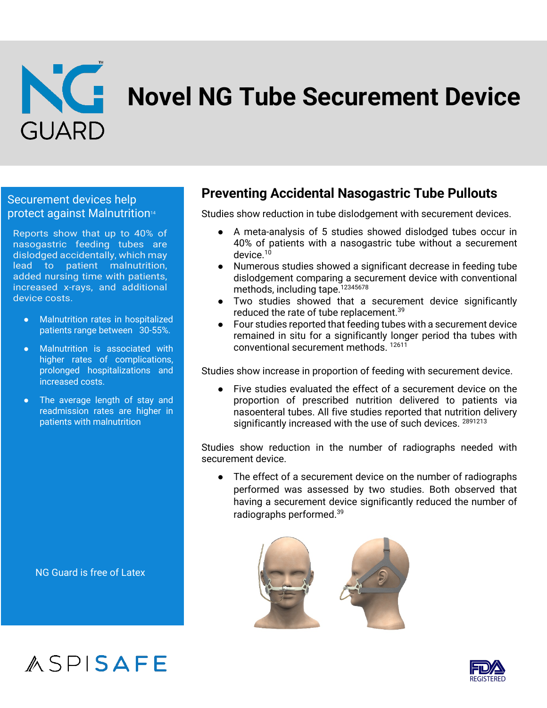

### Securement devices help protect against Malnutrition14

Reports show that up to 40% of nasogastric feeding tubes are dislodged accidentally, which may lead to patient malnutrition, added nursing time with patients, increased x-rays, and additional device costs.

- Malnutrition rates in hospitalized patients range between 30-55%.
- Malnutrition is associated with higher rates of complications, prolonged hospitalizations and increased costs.
- The average length of stay and readmission rates are higher in patients with malnutrition

NG Guard is free of Latex

ASPISAFE

## **Preventing Accidental Nasogastric Tube Pullouts**

Studies show reduction in tube dislodgement with securement devices.

- A meta-analysis of 5 studies showed dislodged tubes occur in 40% of patients with a nasogastric tube without a securement device.<sup>10</sup>
- Numerous studies showed a significant decrease in feeding tube dislodgement comparing a securement device with conventional methods, including tape.<sup>12345678</sup>
- Two studies showed that a securement device significantly reduced the rate of tube replacement.<sup>39</sup>
- Four studies reported that feeding tubes with a securement device remained in situ for a significantly longer period tha tubes with conventional securement methods. 12611

Studies show increase in proportion of feeding with securement device.

● Five studies evaluated the effect of a securement device on the proportion of prescribed nutrition delivered to patients via nasoenteral tubes. All five studies reported that nutrition delivery significantly increased with the use of such devices. 2891213

Studies show reduction in the number of radiographs needed with securement device.

● The effect of a securement device on the number of radiographs performed was assessed by two studies. Both observed that having a securement device significantly reduced the number of radiographs performed.39